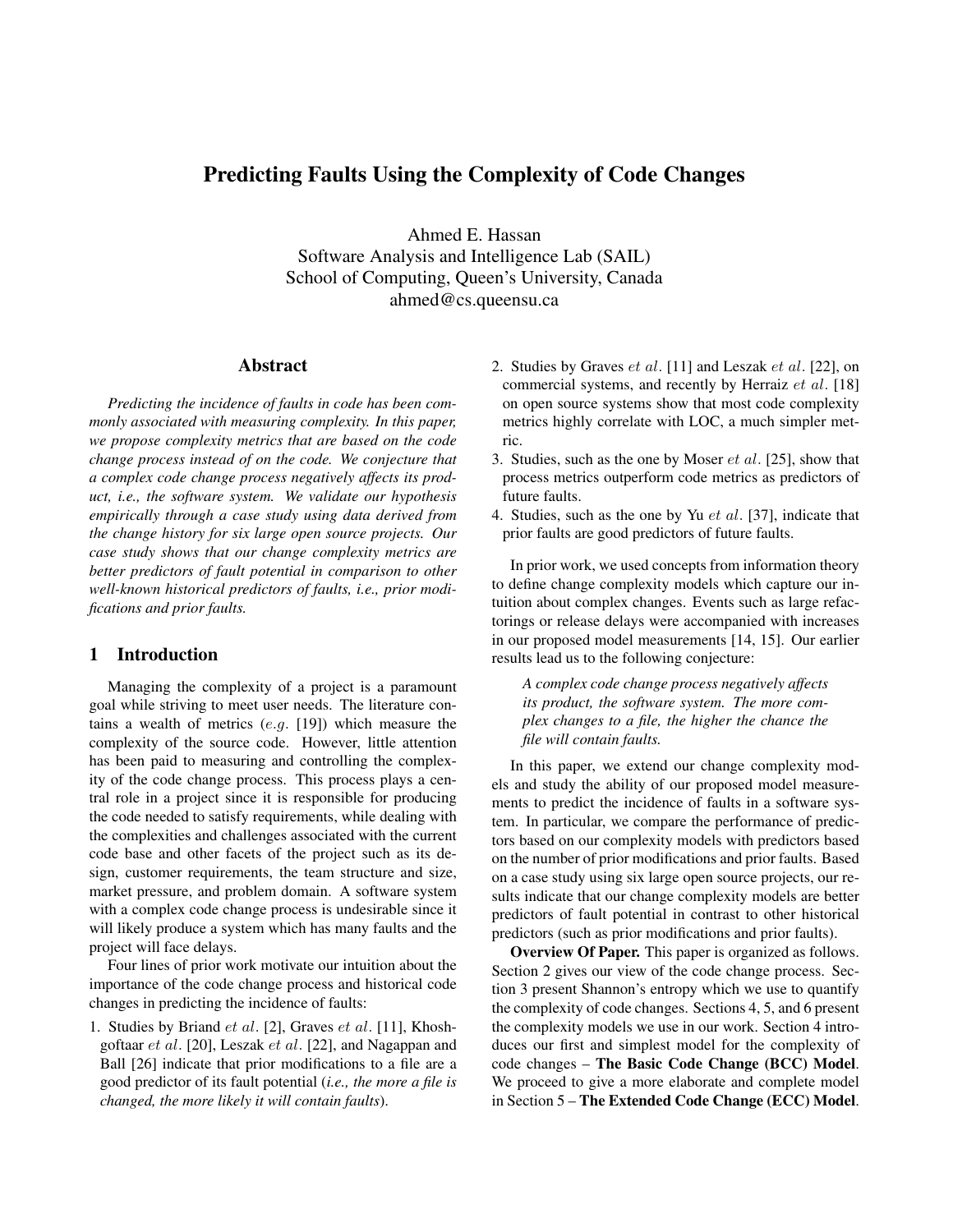# Predicting Faults Using the Complexity of Code Changes

Ahmed E. Hassan Software Analysis and Intelligence Lab (SAIL) School of Computing, Queen's University, Canada ahmed@cs.queensu.ca

#### Abstract

*Predicting the incidence of faults in code has been commonly associated with measuring complexity. In this paper, we propose complexity metrics that are based on the code change process instead of on the code. We conjecture that a complex code change process negatively affects its product, i.e., the software system. We validate our hypothesis empirically through a case study using data derived from the change history for six large open source projects. Our case study shows that our change complexity metrics are better predictors of fault potential in comparison to other well-known historical predictors of faults, i.e., prior modifications and prior faults.*

## 1 Introduction

Managing the complexity of a project is a paramount goal while striving to meet user needs. The literature contains a wealth of metrics  $(e.g. [19])$  which measure the complexity of the source code. However, little attention has been paid to measuring and controlling the complexity of the code change process. This process plays a central role in a project since it is responsible for producing the code needed to satisfy requirements, while dealing with the complexities and challenges associated with the current code base and other facets of the project such as its design, customer requirements, the team structure and size, market pressure, and problem domain. A software system with a complex code change process is undesirable since it will likely produce a system which has many faults and the project will face delays.

Four lines of prior work motivate our intuition about the importance of the code change process and historical code changes in predicting the incidence of faults:

1. Studies by Briand  $et$  al. [2], Graves  $et$  al. [11], Khoshgoftaar et al. [20], Leszak et al. [22], and Nagappan and Ball [26] indicate that prior modifications to a file are a good predictor of its fault potential (*i.e., the more a file is changed, the more likely it will contain faults*).

- 2. Studies by Graves  $et al.$  [11] and Leszak  $et al.$  [22], on commercial systems, and recently by Herraiz et al. [18] on open source systems show that most code complexity metrics highly correlate with LOC, a much simpler metric.
- 3. Studies, such as the one by Moser et al. [25], show that process metrics outperform code metrics as predictors of future faults.
- 4. Studies, such as the one by Yu  $et$  al. [37], indicate that prior faults are good predictors of future faults.

In prior work, we used concepts from information theory to define change complexity models which capture our intuition about complex changes. Events such as large refactorings or release delays were accompanied with increases in our proposed model measurements [14, 15]. Our earlier results lead us to the following conjecture:

*A complex code change process negatively affects its product, the software system. The more complex changes to a file, the higher the chance the file will contain faults.*

In this paper, we extend our change complexity models and study the ability of our proposed model measurements to predict the incidence of faults in a software system. In particular, we compare the performance of predictors based on our complexity models with predictors based on the number of prior modifications and prior faults. Based on a case study using six large open source projects, our results indicate that our change complexity models are better predictors of fault potential in contrast to other historical predictors (such as prior modifications and prior faults).

**Overview Of Paper.** This paper is organized as follows. Section 2 gives our view of the code change process. Section 3 present Shannon's entropy which we use to quantify the complexity of code changes. Sections 4, 5, and 6 present the complexity models we use in our work. Section 4 introduces our first and simplest model for the complexity of code changes – The Basic Code Change (BCC) Model. We proceed to give a more elaborate and complete model in Section 5 – The Extended Code Change (ECC) Model.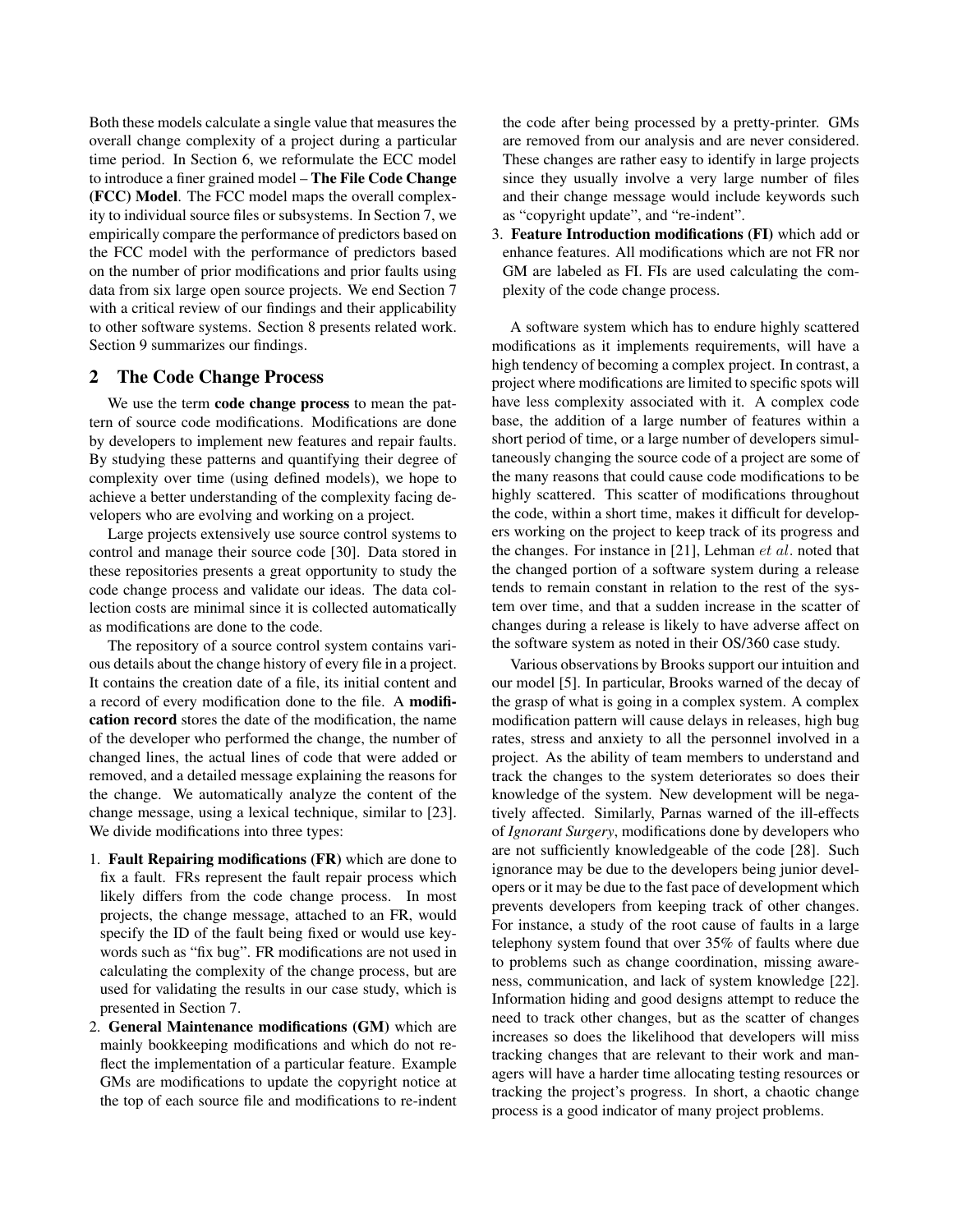Both these models calculate a single value that measures the overall change complexity of a project during a particular time period. In Section 6, we reformulate the ECC model to introduce a finer grained model – The File Code Change (FCC) Model. The FCC model maps the overall complexity to individual source files or subsystems. In Section 7, we empirically compare the performance of predictors based on the FCC model with the performance of predictors based on the number of prior modifications and prior faults using data from six large open source projects. We end Section 7 with a critical review of our findings and their applicability to other software systems. Section 8 presents related work. Section 9 summarizes our findings.

## 2 The Code Change Process

We use the term code change process to mean the pattern of source code modifications. Modifications are done by developers to implement new features and repair faults. By studying these patterns and quantifying their degree of complexity over time (using defined models), we hope to achieve a better understanding of the complexity facing developers who are evolving and working on a project.

Large projects extensively use source control systems to control and manage their source code [30]. Data stored in these repositories presents a great opportunity to study the code change process and validate our ideas. The data collection costs are minimal since it is collected automatically as modifications are done to the code.

The repository of a source control system contains various details about the change history of every file in a project. It contains the creation date of a file, its initial content and a record of every modification done to the file. A modification record stores the date of the modification, the name of the developer who performed the change, the number of changed lines, the actual lines of code that were added or removed, and a detailed message explaining the reasons for the change. We automatically analyze the content of the change message, using a lexical technique, similar to [23]. We divide modifications into three types:

- 1. Fault Repairing modifications (FR) which are done to fix a fault. FRs represent the fault repair process which likely differs from the code change process. In most projects, the change message, attached to an FR, would specify the ID of the fault being fixed or would use keywords such as "fix bug". FR modifications are not used in calculating the complexity of the change process, but are used for validating the results in our case study, which is presented in Section 7.
- 2. General Maintenance modifications (GM) which are mainly bookkeeping modifications and which do not reflect the implementation of a particular feature. Example GMs are modifications to update the copyright notice at the top of each source file and modifications to re-indent

the code after being processed by a pretty-printer. GMs are removed from our analysis and are never considered. These changes are rather easy to identify in large projects since they usually involve a very large number of files and their change message would include keywords such as "copyright update", and "re-indent".

3. Feature Introduction modifications (FI) which add or enhance features. All modifications which are not FR nor GM are labeled as FI. FIs are used calculating the complexity of the code change process.

A software system which has to endure highly scattered modifications as it implements requirements, will have a high tendency of becoming a complex project. In contrast, a project where modifications are limited to specific spots will have less complexity associated with it. A complex code base, the addition of a large number of features within a short period of time, or a large number of developers simultaneously changing the source code of a project are some of the many reasons that could cause code modifications to be highly scattered. This scatter of modifications throughout the code, within a short time, makes it difficult for developers working on the project to keep track of its progress and the changes. For instance in [21], Lehman  $et$  al. noted that the changed portion of a software system during a release tends to remain constant in relation to the rest of the system over time, and that a sudden increase in the scatter of changes during a release is likely to have adverse affect on the software system as noted in their OS/360 case study.

Various observations by Brooks support our intuition and our model [5]. In particular, Brooks warned of the decay of the grasp of what is going in a complex system. A complex modification pattern will cause delays in releases, high bug rates, stress and anxiety to all the personnel involved in a project. As the ability of team members to understand and track the changes to the system deteriorates so does their knowledge of the system. New development will be negatively affected. Similarly, Parnas warned of the ill-effects of *Ignorant Surgery*, modifications done by developers who are not sufficiently knowledgeable of the code [28]. Such ignorance may be due to the developers being junior developers or it may be due to the fast pace of development which prevents developers from keeping track of other changes. For instance, a study of the root cause of faults in a large telephony system found that over 35% of faults where due to problems such as change coordination, missing awareness, communication, and lack of system knowledge [22]. Information hiding and good designs attempt to reduce the need to track other changes, but as the scatter of changes increases so does the likelihood that developers will miss tracking changes that are relevant to their work and managers will have a harder time allocating testing resources or tracking the project's progress. In short, a chaotic change process is a good indicator of many project problems.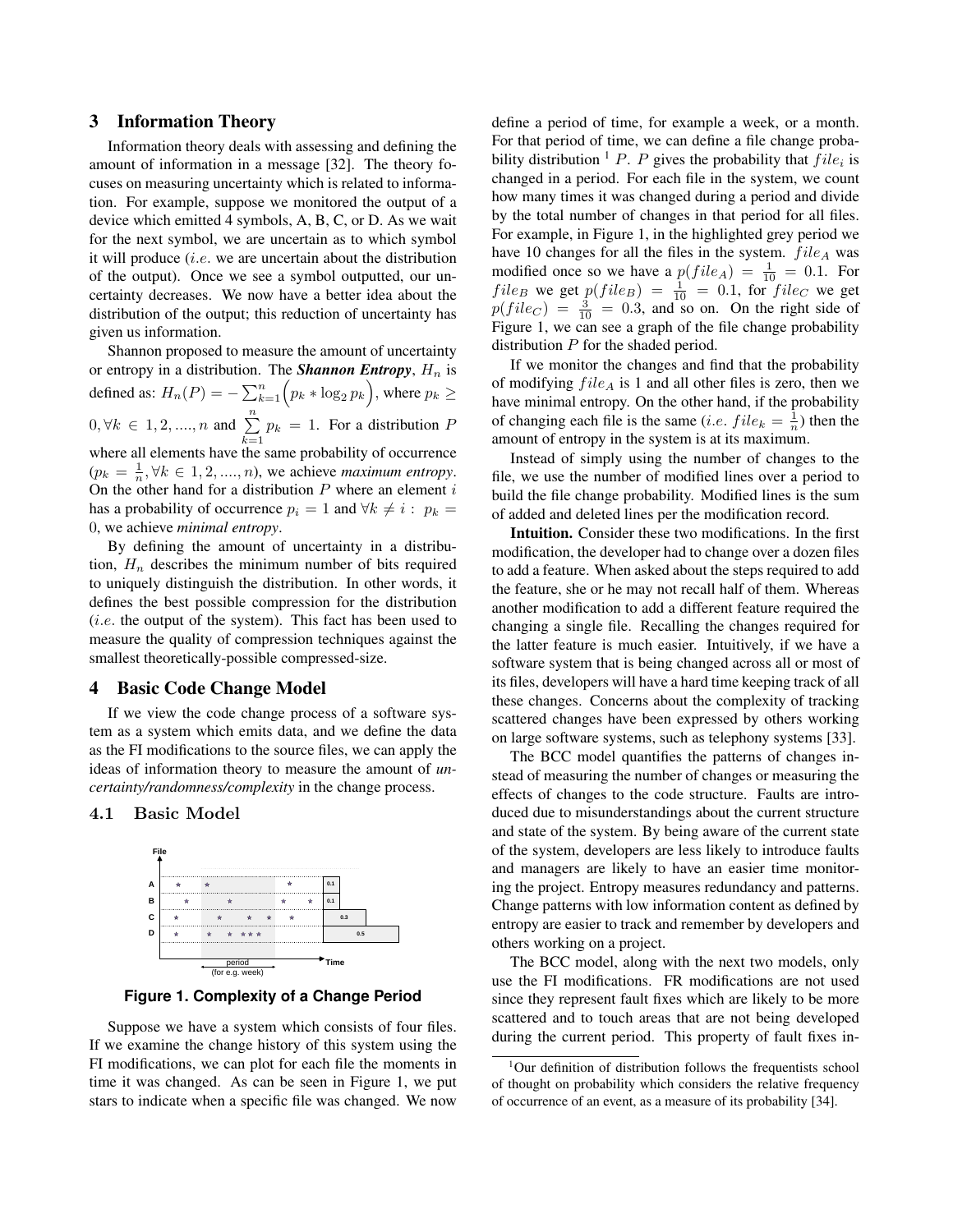## 3 Information Theory

Information theory deals with assessing and defining the amount of information in a message [32]. The theory focuses on measuring uncertainty which is related to information. For example, suppose we monitored the output of a device which emitted 4 symbols, A, B, C, or D. As we wait for the next symbol, we are uncertain as to which symbol it will produce  $(i.e.$  we are uncertain about the distribution of the output). Once we see a symbol outputted, our uncertainty decreases. We now have a better idea about the distribution of the output; this reduction of uncertainty has given us information.

Shannon proposed to measure the amount of uncertainty or entropy in a distribution. The **Shannon Entropy**,  $H_n$  is defined as:  $H_n(P) = -\sum_{k=1}^n \Bigl(p_k * \log_2 p_k\Bigr),$  where  $p_k \geq$  $0, \forall k \in {1, 2, ..., n}$  and  $\sum_{n=1}^{n}$  $\sum_{k=1} p_k = 1$ . For a distribution P where all elements have the same probability of occurrence  $(p_k = \frac{1}{n}, \forall k \in 1, 2, \dots, n)$ , we achieve *maximum entropy*. On the other hand for a distribution  $P$  where an element  $i$ has a probability of occurrence  $p_i = 1$  and  $\forall k \neq i : p_k =$ 0, we achieve *minimal entropy*.

By defining the amount of uncertainty in a distribution,  $H_n$  describes the minimum number of bits required to uniquely distinguish the distribution. In other words, it defines the best possible compression for the distribution (i.e. the output of the system). This fact has been used to measure the quality of compression techniques against the smallest theoretically-possible compressed-size.

#### 4 Basic Code Change Model

If we view the code change process of a software system as a system which emits data, and we define the data as the FI modifications to the source files, we can apply the ideas of information theory to measure the amount of *uncertainty/randomness/complexity* in the change process.

#### 4.1 Basic Model



**Figure 1. Complexity of a Change Period**

Suppose we have a system which consists of four files. If we examine the change history of this system using the FI modifications, we can plot for each file the moments in time it was changed. As can be seen in Figure 1, we put stars to indicate when a specific file was changed. We now define a period of time, for example a week, or a month. For that period of time, we can define a file change probability distribution <sup>1</sup> P. P gives the probability that  $file_i$  is changed in a period. For each file in the system, we count how many times it was changed during a period and divide by the total number of changes in that period for all files. For example, in Figure 1, in the highlighted grey period we have 10 changes for all the files in the system.  $file_A$  was modified once so we have a  $p(file_A) = \frac{1}{10} = 0.1$ . For  $file_B$  we get  $p(file_B) = \frac{1}{10} = 0.1$ , for  $file_C$  we get  $p(file_C) = \frac{3}{10} = 0.3$ , and so on. On the right side of Figure 1, we can see a graph of the file change probability distribution  $P$  for the shaded period.

If we monitor the changes and find that the probability of modifying  $file_A$  is 1 and all other files is zero, then we have minimal entropy. On the other hand, if the probability of changing each file is the same (*i.e.*  $file_k = \frac{1}{n}$ ) then the amount of entropy in the system is at its maximum.

Instead of simply using the number of changes to the file, we use the number of modified lines over a period to build the file change probability. Modified lines is the sum of added and deleted lines per the modification record.

Intuition. Consider these two modifications. In the first modification, the developer had to change over a dozen files to add a feature. When asked about the steps required to add the feature, she or he may not recall half of them. Whereas another modification to add a different feature required the changing a single file. Recalling the changes required for the latter feature is much easier. Intuitively, if we have a software system that is being changed across all or most of its files, developers will have a hard time keeping track of all these changes. Concerns about the complexity of tracking scattered changes have been expressed by others working on large software systems, such as telephony systems [33].

The BCC model quantifies the patterns of changes instead of measuring the number of changes or measuring the effects of changes to the code structure. Faults are introduced due to misunderstandings about the current structure and state of the system. By being aware of the current state of the system, developers are less likely to introduce faults and managers are likely to have an easier time monitoring the project. Entropy measures redundancy and patterns. Change patterns with low information content as defined by entropy are easier to track and remember by developers and others working on a project.

The BCC model, along with the next two models, only use the FI modifications. FR modifications are not used since they represent fault fixes which are likely to be more scattered and to touch areas that are not being developed during the current period. This property of fault fixes in-

<sup>&</sup>lt;sup>1</sup>Our definition of distribution follows the frequentists school of thought on probability which considers the relative frequency of occurrence of an event, as a measure of its probability [34].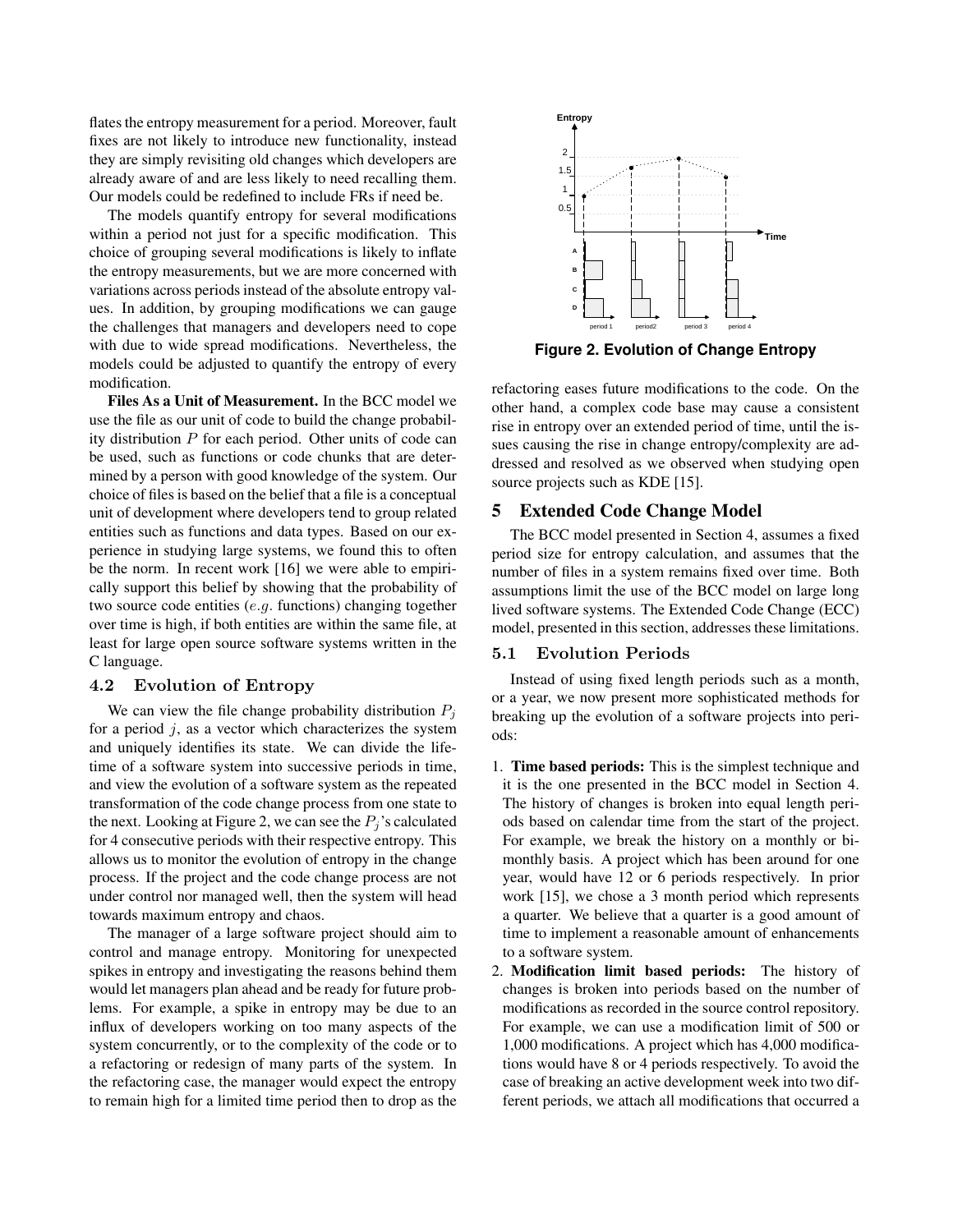flates the entropy measurement for a period. Moreover, fault fixes are not likely to introduce new functionality, instead they are simply revisiting old changes which developers are already aware of and are less likely to need recalling them. Our models could be redefined to include FRs if need be.

The models quantify entropy for several modifications within a period not just for a specific modification. This choice of grouping several modifications is likely to inflate the entropy measurements, but we are more concerned with variations across periods instead of the absolute entropy values. In addition, by grouping modifications we can gauge the challenges that managers and developers need to cope with due to wide spread modifications. Nevertheless, the models could be adjusted to quantify the entropy of every modification.

Files As a Unit of Measurement. In the BCC model we use the file as our unit of code to build the change probability distribution P for each period. Other units of code can be used, such as functions or code chunks that are determined by a person with good knowledge of the system. Our choice of files is based on the belief that a file is a conceptual unit of development where developers tend to group related entities such as functions and data types. Based on our experience in studying large systems, we found this to often be the norm. In recent work [16] we were able to empirically support this belief by showing that the probability of two source code entities (e.g. functions) changing together over time is high, if both entities are within the same file, at least for large open source software systems written in the C language.

## 4.2 Evolution of Entropy

We can view the file change probability distribution  $P_i$ for a period  $j$ , as a vector which characterizes the system and uniquely identifies its state. We can divide the lifetime of a software system into successive periods in time, and view the evolution of a software system as the repeated transformation of the code change process from one state to the next. Looking at Figure 2, we can see the  $P_i$ 's calculated for 4 consecutive periods with their respective entropy. This allows us to monitor the evolution of entropy in the change process. If the project and the code change process are not under control nor managed well, then the system will head towards maximum entropy and chaos.

The manager of a large software project should aim to control and manage entropy. Monitoring for unexpected spikes in entropy and investigating the reasons behind them would let managers plan ahead and be ready for future problems. For example, a spike in entropy may be due to an influx of developers working on too many aspects of the system concurrently, or to the complexity of the code or to a refactoring or redesign of many parts of the system. In the refactoring case, the manager would expect the entropy to remain high for a limited time period then to drop as the



**Figure 2. Evolution of Change Entropy**

refactoring eases future modifications to the code. On the other hand, a complex code base may cause a consistent rise in entropy over an extended period of time, until the issues causing the rise in change entropy/complexity are addressed and resolved as we observed when studying open source projects such as KDE [15].

# 5 Extended Code Change Model

The BCC model presented in Section 4, assumes a fixed period size for entropy calculation, and assumes that the number of files in a system remains fixed over time. Both assumptions limit the use of the BCC model on large long lived software systems. The Extended Code Change (ECC) model, presented in this section, addresses these limitations.

#### 5.1 Evolution Periods

Instead of using fixed length periods such as a month, or a year, we now present more sophisticated methods for breaking up the evolution of a software projects into periods:

- 1. Time based periods: This is the simplest technique and it is the one presented in the BCC model in Section 4. The history of changes is broken into equal length periods based on calendar time from the start of the project. For example, we break the history on a monthly or bimonthly basis. A project which has been around for one year, would have 12 or 6 periods respectively. In prior work [15], we chose a 3 month period which represents a quarter. We believe that a quarter is a good amount of time to implement a reasonable amount of enhancements to a software system.
- 2. Modification limit based periods: The history of changes is broken into periods based on the number of modifications as recorded in the source control repository. For example, we can use a modification limit of 500 or 1,000 modifications. A project which has 4,000 modifications would have 8 or 4 periods respectively. To avoid the case of breaking an active development week into two different periods, we attach all modifications that occurred a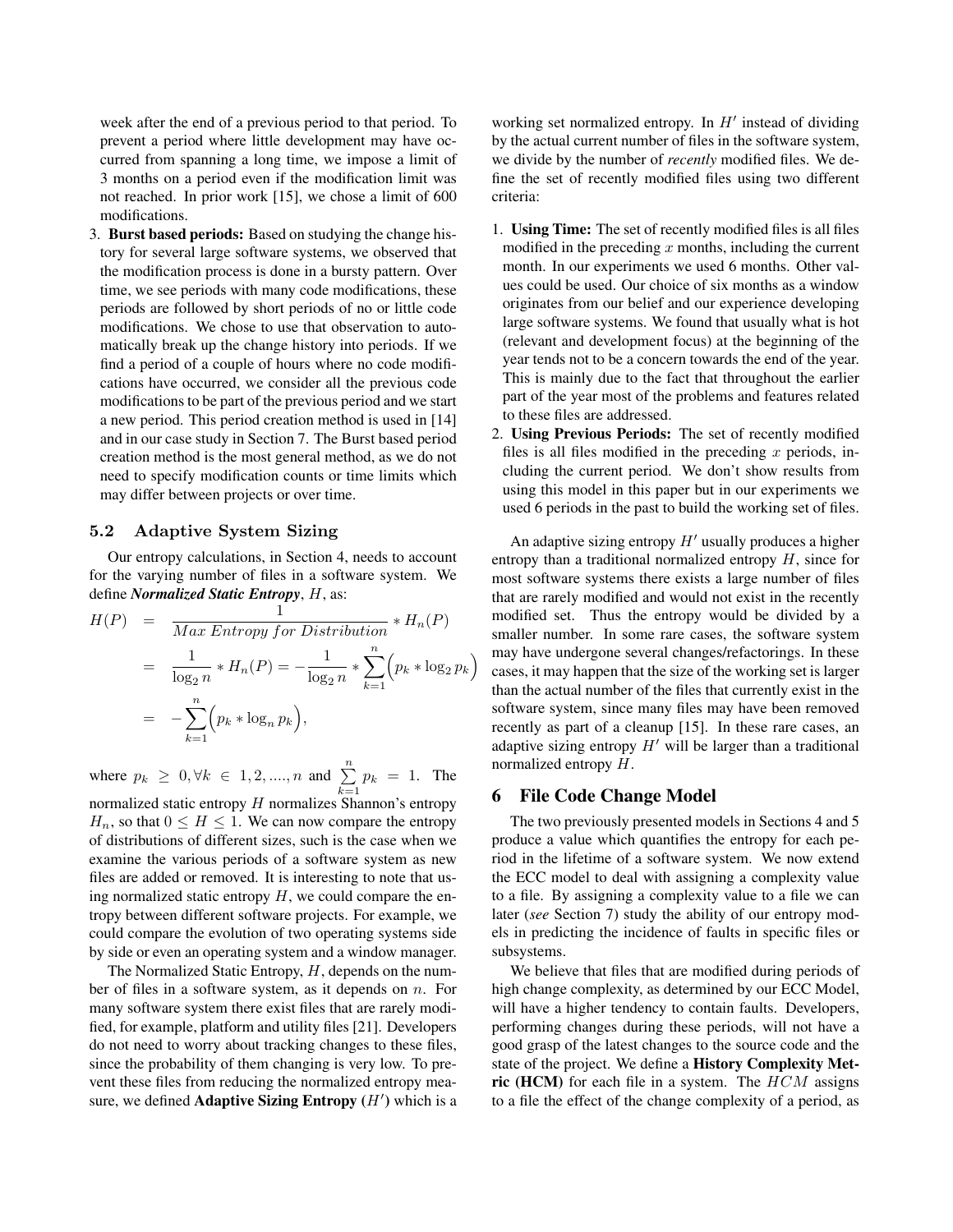week after the end of a previous period to that period. To prevent a period where little development may have occurred from spanning a long time, we impose a limit of 3 months on a period even if the modification limit was not reached. In prior work [15], we chose a limit of 600 modifications.

3. Burst based periods: Based on studying the change history for several large software systems, we observed that the modification process is done in a bursty pattern. Over time, we see periods with many code modifications, these periods are followed by short periods of no or little code modifications. We chose to use that observation to automatically break up the change history into periods. If we find a period of a couple of hours where no code modifications have occurred, we consider all the previous code modifications to be part of the previous period and we start a new period. This period creation method is used in [14] and in our case study in Section 7. The Burst based period creation method is the most general method, as we do not need to specify modification counts or time limits which may differ between projects or over time.

#### 5.2 Adaptive System Sizing

Our entropy calculations, in Section 4, needs to account for the varying number of files in a software system. We define *Normalized Static Entropy*, H, as:

$$
H(P) = \frac{1}{Max \,Entropy \, for \, Distribution} * H_n(P)
$$
  
= 
$$
\frac{1}{\log_2 n} * H_n(P) = -\frac{1}{\log_2 n} * \sum_{k=1}^n (p_k * \log_2 p_k)
$$
  
= 
$$
-\sum_{k=1}^n (p_k * \log_n p_k),
$$

where  $p_k \ge 0, \forall k \in 1, 2, ..., n$  and  $\sum_{k=1}^{n} p_k = 1$ . The normalized static entropy  $H$  normalizes Shannon's entropy  $H_n$ , so that  $0 \leq H \leq 1$ . We can now compare the entropy of distributions of different sizes, such is the case when we examine the various periods of a software system as new files are added or removed. It is interesting to note that using normalized static entropy  $H$ , we could compare the entropy between different software projects. For example, we could compare the evolution of two operating systems side by side or even an operating system and a window manager.

The Normalized Static Entropy,  $H$ , depends on the number of files in a software system, as it depends on  $n$ . For many software system there exist files that are rarely modified, for example, platform and utility files [21]. Developers do not need to worry about tracking changes to these files, since the probability of them changing is very low. To prevent these files from reducing the normalized entropy measure, we defined Adaptive Sizing Entropy  $(H')$  which is a

working set normalized entropy. In  $H'$  instead of dividing by the actual current number of files in the software system, we divide by the number of *recently* modified files. We define the set of recently modified files using two different criteria:

- 1. Using Time: The set of recently modified files is all files modified in the preceding  $x$  months, including the current month. In our experiments we used 6 months. Other values could be used. Our choice of six months as a window originates from our belief and our experience developing large software systems. We found that usually what is hot (relevant and development focus) at the beginning of the year tends not to be a concern towards the end of the year. This is mainly due to the fact that throughout the earlier part of the year most of the problems and features related to these files are addressed.
- 2. Using Previous Periods: The set of recently modified files is all files modified in the preceding  $x$  periods, including the current period. We don't show results from using this model in this paper but in our experiments we used 6 periods in the past to build the working set of files.

An adaptive sizing entropy  $H'$  usually produces a higher entropy than a traditional normalized entropy  $H$ , since for most software systems there exists a large number of files that are rarely modified and would not exist in the recently modified set. Thus the entropy would be divided by a smaller number. In some rare cases, the software system may have undergone several changes/refactorings. In these cases, it may happen that the size of the working set is larger than the actual number of the files that currently exist in the software system, since many files may have been removed recently as part of a cleanup [15]. In these rare cases, an adaptive sizing entropy  $H'$  will be larger than a traditional normalized entropy H.

## 6 File Code Change Model

The two previously presented models in Sections 4 and 5 produce a value which quantifies the entropy for each period in the lifetime of a software system. We now extend the ECC model to deal with assigning a complexity value to a file. By assigning a complexity value to a file we can later (*see* Section 7) study the ability of our entropy models in predicting the incidence of faults in specific files or subsystems.

We believe that files that are modified during periods of high change complexity, as determined by our ECC Model, will have a higher tendency to contain faults. Developers, performing changes during these periods, will not have a good grasp of the latest changes to the source code and the state of the project. We define a History Complexity Metric (HCM) for each file in a system. The  $HCM$  assigns to a file the effect of the change complexity of a period, as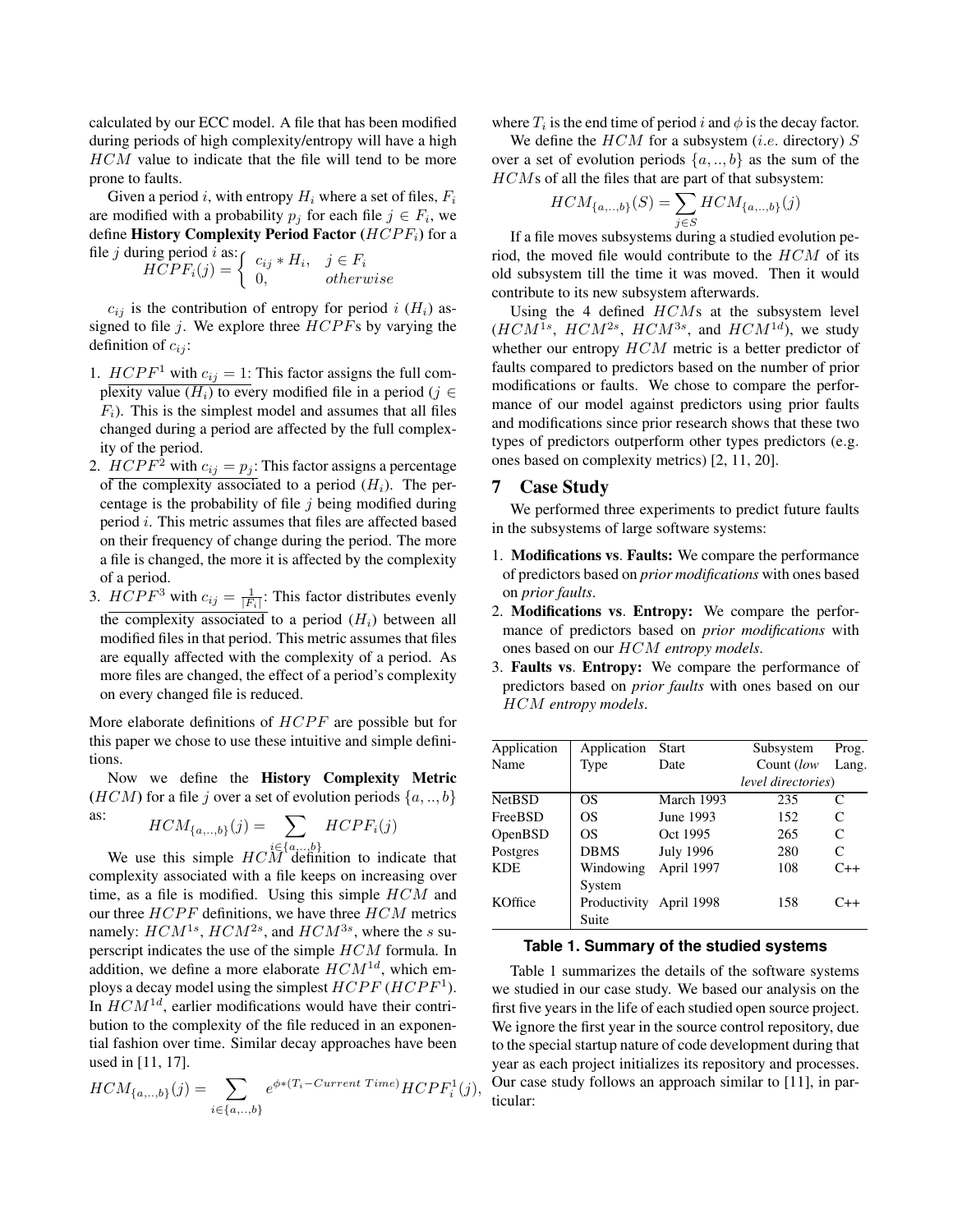calculated by our ECC model. A file that has been modified during periods of high complexity/entropy will have a high HCM value to indicate that the file will tend to be more prone to faults.

Given a period i, with entropy  $H_i$  where a set of files,  $F_i$ are modified with a probability  $p_j$  for each file  $j \in F_i$ , we define History Complexity Period Factor  $(HCPF_i)$  for a file *i* during period  $$ 

j during period i as:  
\n
$$
HCPF_i(j) = \begin{cases}\nc_{ij} * H_i, & j \in F_i \\
0, & otherwise\n\end{cases}
$$

 $c_{ij}$  is the contribution of entropy for period i  $(H_i)$  assigned to file j. We explore three  $HCPFs$  by varying the definition of  $c_{ij}$ :

- 1.  $HCPF<sup>1</sup>$  with  $c_{ij} = 1$ : This factor assigns the full complexity value  $(H_i)$  to every modified file in a period (j ∈  $F_i$ ). This is the simplest model and assumes that all files changed during a period are affected by the full complexity of the period.
- 2.  $HCPF^2$  with  $c_{ij} = p_j$ : This factor assigns a percentage of the complexity associated to a period  $(H_i)$ . The percentage is the probability of file  $j$  being modified during period i. This metric assumes that files are affected based on their frequency of change during the period. The more a file is changed, the more it is affected by the complexity of a period.
- 3.  $HCPF^3$  with  $c_{ij} = \frac{1}{|F_i|}$ : This factor distributes evenly the complexity associated to a period  $(H_i)$  between all modified files in that period. This metric assumes that files are equally affected with the complexity of a period. As more files are changed, the effect of a period's complexity on every changed file is reduced.

More elaborate definitions of  $HCPF$  are possible but for this paper we chose to use these intuitive and simple definitions.

Now we define the History Complexity Metric (*HCM*) for a file j over a set of evolution periods  $\{a,..,b\}$ 

as: 
$$
HCM_{\{a,..,b\}}(j) = \sum_{i \in \{a,..,b\}} HCPF_i(j)
$$

We use this simple  $HCM$  definition to indicate that complexity associated with a file keeps on increasing over time, as a file is modified. Using this simple  $HCM$  and our three  $HCPF$  definitions, we have three  $HCM$  metrics namely:  $HCM^{1s}$ ,  $HCM^{2s}$ , and  $HCM^{3s}$ , where the s superscript indicates the use of the simple HCM formula. In addition, we define a more elaborate  $HCM^{1d}$ , which employs a decay model using the simplest  $HCPF$  ( $HCPF<sup>1</sup>$ ). In  $HCM^{1d}$ , earlier modifications would have their contribution to the complexity of the file reduced in an exponential fashion over time. Similar decay approaches have been used in [11, 17].

$$
HCM_{\{a,\ldots,b\}}(j) = \sum_{i \in \{a,\ldots,b\}} e^{\phi * (T_i - Current\ Time)} HCPF_i^1(j),
$$

where  $T_i$  is the end time of period i and  $\phi$  is the decay factor.

We define the  $HCM$  for a subsystem (*i.e.* directory)  $S$ over a set of evolution periods  $\{a,..,b\}$  as the sum of the HCMs of all the files that are part of that subsystem:

$$
HCM_{\{a,\ldots,b\}}(S) = \sum_{j \in S} HCM_{\{a,\ldots,b\}}(j)
$$

If a file moves subsystems during a studied evolution period, the moved file would contribute to the  $HCM$  of its old subsystem till the time it was moved. Then it would contribute to its new subsystem afterwards.

Using the 4 defined  $HCMs$  at the subsystem level  $(HCM^{1s}, HCM^{2s}, HCM^{3s}, \text{ and } HCM^{1d}),$  we study whether our entropy  $HCM$  metric is a better predictor of faults compared to predictors based on the number of prior modifications or faults. We chose to compare the performance of our model against predictors using prior faults and modifications since prior research shows that these two types of predictors outperform other types predictors (e.g. ones based on complexity metrics) [2, 11, 20].

### 7 Case Study

We performed three experiments to predict future faults in the subsystems of large software systems:

- 1. Modifications vs. Faults: We compare the performance of predictors based on *prior modifications* with ones based on *prior faults*.
- 2. Modifications vs. Entropy: We compare the performance of predictors based on *prior modifications* with ones based on our HCM *entropy models*.
- 3. Faults vs. Entropy: We compare the performance of predictors based on *prior faults* with ones based on our HCM *entropy models*.

| Application   | Application                      | <b>Start</b>     | Subsystem          | Prog.        |
|---------------|----------------------------------|------------------|--------------------|--------------|
| Name          | Type                             | Date             | Count (low         | Lang.        |
|               |                                  |                  | level directories) |              |
| <b>NetBSD</b> | OS                               | March 1993       | 235                | C            |
| FreeBSD       | OS                               | June 1993        | 152                | $\mathsf{C}$ |
| OpenBSD       | OS                               | Oct 1995         | 265                | $\mathsf{C}$ |
| Postgres      | <b>DBMS</b>                      | <b>July 1996</b> | 280                | C            |
| <b>KDE</b>    | Windowing<br>System              | April 1997       | 108                | $C++$        |
| KOffice       | Productivity April 1998<br>Suite |                  | 158                | $C_{++}$     |

#### **Table 1. Summary of the studied systems**

Table 1 summarizes the details of the software systems we studied in our case study. We based our analysis on the first five years in the life of each studied open source project. We ignore the first year in the source control repository, due to the special startup nature of code development during that year as each project initializes its repository and processes. Our case study follows an approach similar to [11], in particular: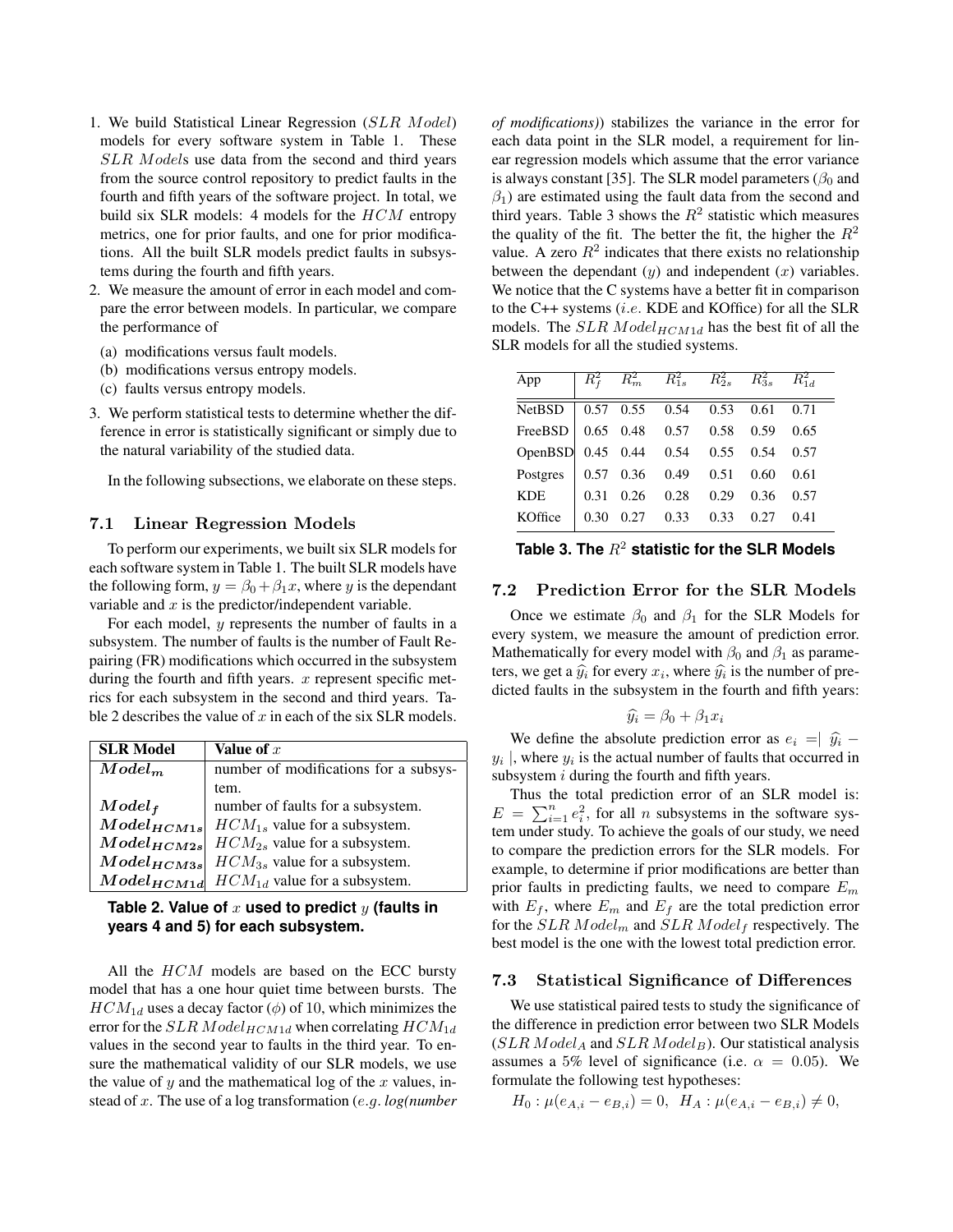- 1. We build Statistical Linear Regression (SLR Model) models for every software system in Table 1. These SLR Models use data from the second and third years from the source control repository to predict faults in the fourth and fifth years of the software project. In total, we build six SLR models: 4 models for the  $HCM$  entropy metrics, one for prior faults, and one for prior modifications. All the built SLR models predict faults in subsystems during the fourth and fifth years.
- 2. We measure the amount of error in each model and compare the error between models. In particular, we compare the performance of
	- (a) modifications versus fault models.
	- (b) modifications versus entropy models.
	- (c) faults versus entropy models.
- 3. We perform statistical tests to determine whether the difference in error is statistically significant or simply due to the natural variability of the studied data.

In the following subsections, we elaborate on these steps.

#### 7.1 Linear Regression Models

To perform our experiments, we built six SLR models for each software system in Table 1. The built SLR models have the following form,  $y = \beta_0 + \beta_1 x$ , where y is the dependant variable and  $x$  is the predictor/independent variable.

For each model, y represents the number of faults in a subsystem. The number of faults is the number of Fault Repairing (FR) modifications which occurred in the subsystem during the fourth and fifth years.  $x$  represent specific metrics for each subsystem in the second and third years. Table 2 describes the value of  $x$  in each of the six SLR models.

| <b>SLR Model</b> | Value of $x$                          |
|------------------|---------------------------------------|
| $Model_m$        | number of modifications for a subsys- |
|                  | tem.                                  |
| $Model_f$        | number of faults for a subsystem.     |
| $Model_{HCM1s}$  | $HCM_{1s}$ value for a subsystem.     |
| $Model_{HCM2s}$  | $HCM_{2s}$ value for a subsystem.     |
| $Model_{HCM3s}$  | $HCM_{3s}$ value for a subsystem.     |
| $Model_{HCM1d}$  | $HCM_{1d}$ value for a subsystem.     |

## **Table 2. Value of** x **used to predict** y (faults in **years 4 and 5) for each subsystem.**

All the  $HCM$  models are based on the ECC bursty model that has a one hour quiet time between bursts. The  $HCM_{1d}$  uses a decay factor ( $\phi$ ) of 10, which minimizes the error for the  $SLR$   $Model_{HCM1d}$  when correlating  $HCM_{1d}$ values in the second year to faults in the third year. To ensure the mathematical validity of our SLR models, we use the value of  $y$  and the mathematical log of the  $x$  values, instead of x. The use of a log transformation (e.g. *log(number* *of modifications)*) stabilizes the variance in the error for each data point in the SLR model, a requirement for linear regression models which assume that the error variance is always constant [35]. The SLR model parameters ( $\beta_0$  and  $\beta_1$ ) are estimated using the fault data from the second and third years. Table 3 shows the  $R^2$  statistic which measures the quality of the fit. The better the fit, the higher the  $R^2$ value. A zero  $R^2$  indicates that there exists no relationship between the dependant  $(y)$  and independent  $(x)$  variables. We notice that the C systems have a better fit in comparison to the C++ systems (i.e. KDE and KOffice) for all the SLR models. The  $SLR$   $Model_{HCM1d}$  has the best fit of all the SLR models for all the studied systems.

|  |                   |                  | 0.71                                                                                                                                                                                                                                                                                                                                                                          |
|--|-------------------|------------------|-------------------------------------------------------------------------------------------------------------------------------------------------------------------------------------------------------------------------------------------------------------------------------------------------------------------------------------------------------------------------------|
|  |                   |                  | 0.65                                                                                                                                                                                                                                                                                                                                                                          |
|  |                   |                  |                                                                                                                                                                                                                                                                                                                                                                               |
|  |                   |                  | 0.61                                                                                                                                                                                                                                                                                                                                                                          |
|  |                   | 0.36             | 0.57                                                                                                                                                                                                                                                                                                                                                                          |
|  |                   | 0.27             | 0.41                                                                                                                                                                                                                                                                                                                                                                          |
|  | 0.30 <sup>2</sup> | $0.27$ 0.33 0.33 | $R_f^2$ $R_m^2$ $R_{1s}^2$ $R_{2s}^2$ $R_{3s}^2$ $R_{1d}^2$<br>$\begin{array}{ rrrr} 0.57 & 0.55 & 0.54 & 0.53 & 0.61 \end{array}$<br>FreeBSD $\begin{array}{ l} 0.65 \quad 0.48 \quad 0.57 \quad 0.58 \quad 0.59 \end{array}$<br>OpenBSD 0.45 0.44 0.54 0.55 0.54 0.57<br>Postgres   0.57 0.36 0.49 0.51 0.60<br>$\begin{array}{cccc} 0.31 & 0.26 & 0.28 & 0.29 \end{array}$ |

Table 3. The  $R^2$  statistic for the SLR Models

#### 7.2 Prediction Error for the SLR Models

Once we estimate  $\beta_0$  and  $\beta_1$  for the SLR Models for every system, we measure the amount of prediction error. Mathematically for every model with  $\beta_0$  and  $\beta_1$  as parameters, we get a  $\hat{y}_i$  for every  $x_i$ , where  $\hat{y}_i$  is the number of pre-<br>dicted foults in the subsystem in the fourth and fifth years: dicted faults in the subsystem in the fourth and fifth years:

$$
\widehat{y_i} = \beta_0 + \beta_1 x_i
$$

We define the absolute prediction error as  $e_i = |\hat{y}_i - \hat{y}_i|$ <br>Universe the actual number of faults that occurred in  $y_i$  |, where  $y_i$  is the actual number of faults that occurred in subsystem *i* during the fourth and fifth years.

Thus the total prediction error of an SLR model is:  $E = \sum_{i=1}^{n} e_i^2$ , for all *n* subsystems in the software system under study. To achieve the goals of our study, we need to compare the prediction errors for the SLR models. For example, to determine if prior modifications are better than prior faults in predicting faults, we need to compare  $E_m$ with  $E_f$ , where  $E_m$  and  $E_f$  are the total prediction error for the  $SLR$   $Model_m$  and  $SLR$   $Model_f$  respectively. The best model is the one with the lowest total prediction error.

#### 7.3 Statistical Significance of Differences

We use statistical paired tests to study the significance of the difference in prediction error between two SLR Models  $(SLR \text{ Model}_A$  and  $SLR \text{ Model}_B$ ). Our statistical analysis assumes a 5% level of significance (i.e.  $\alpha = 0.05$ ). We formulate the following test hypotheses:

$$
H_0: \mu(e_{A,i} - e_{B,i}) = 0, \ \ H_A: \mu(e_{A,i} - e_{B,i}) \neq 0,
$$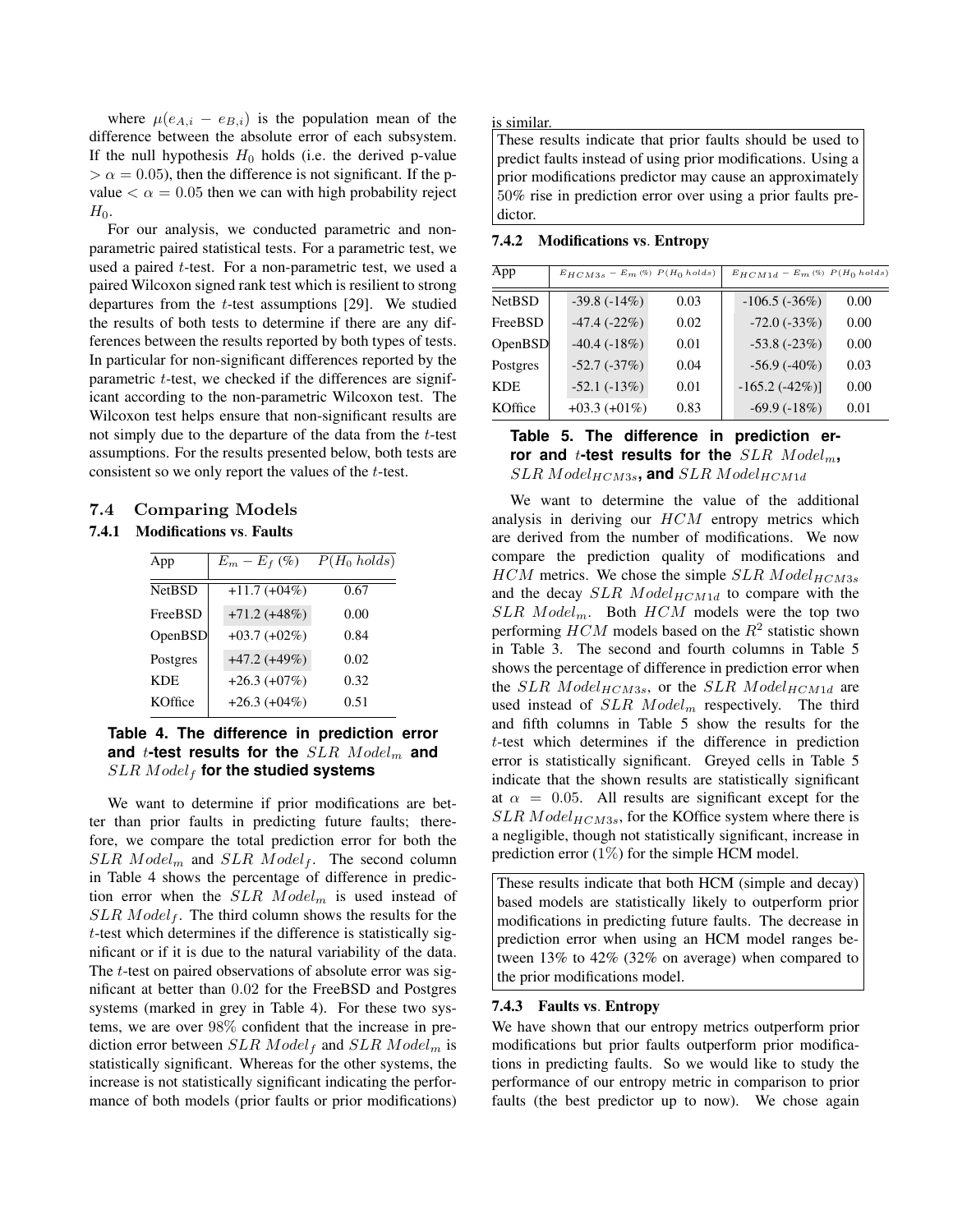where  $\mu(e_{A,i} - e_{B,i})$  is the population mean of the difference between the absolute error of each subsystem. If the null hypothesis  $H_0$  holds (i.e. the derived p-value  $> \alpha = 0.05$ , then the difference is not significant. If the pvalue  $\langle \alpha = 0.05$  then we can with high probability reject  $H_0$ .

For our analysis, we conducted parametric and nonparametric paired statistical tests. For a parametric test, we used a paired t-test. For a non-parametric test, we used a paired Wilcoxon signed rank test which is resilient to strong departures from the  $t$ -test assumptions [29]. We studied the results of both tests to determine if there are any differences between the results reported by both types of tests. In particular for non-significant differences reported by the parametric t-test, we checked if the differences are significant according to the non-parametric Wilcoxon test. The Wilcoxon test helps ensure that non-significant results are not simply due to the departure of the data from the t-test assumptions. For the results presented below, both tests are consistent so we only report the values of the t-test.

# 7.4 Comparing Models

# 7.4.1 Modifications vs. Faults

| App           | $E_m - E_f$ (%) | $P(H_0 \text{ holds})$ |
|---------------|-----------------|------------------------|
| <b>NetBSD</b> | $+11.7 (+04%)$  | 0.67                   |
| FreeBSD       | $+71.2 (+48%)$  | 0.00                   |
| OpenBSD       | $+03.7 (+02\%)$ | 0.84                   |
| Postgres      | $+47.2 (+49%)$  | 0.02                   |
| <b>KDE</b>    | $+26.3 (+07%)$  | 0.32                   |
| KOffice       | $+26.3(+04\%)$  | 0.51                   |

# **Table 4. The difference in prediction error** and *t*-test results for the SLR Model<sub>m</sub> and SLR Model<sub>f</sub> for the studied systems

We want to determine if prior modifications are better than prior faults in predicting future faults; therefore, we compare the total prediction error for both the  $SLR$  Model<sub>m</sub> and  $SLR$  Model<sub>f</sub>. The second column in Table 4 shows the percentage of difference in prediction error when the  $SLR$   $Model_m$  is used instead of  $SLR$  *Model<sub>f</sub>*. The third column shows the results for the t-test which determines if the difference is statistically significant or if it is due to the natural variability of the data. The *t*-test on paired observations of absolute error was significant at better than 0.02 for the FreeBSD and Postgres systems (marked in grey in Table 4). For these two systems, we are over 98% confident that the increase in prediction error between  $SLR$  Model<sub>f</sub> and  $SLR$  Model<sub>m</sub> is statistically significant. Whereas for the other systems, the increase is not statistically significant indicating the performance of both models (prior faults or prior modifications) is similar.

These results indicate that prior faults should be used to predict faults instead of using prior modifications. Using a prior modifications predictor may cause an approximately 50% rise in prediction error over using a prior faults predictor.

#### 7.4.2 Modifications vs. Entropy

| App            | $E_{HCM3s}$ – $E_m \left( \% \right)\;P(H_0\; holds)$ |                |      | $E_{HCM1d} - E_m$ (%) $P(H_0 \text{ holds})$ |      |  |
|----------------|-------------------------------------------------------|----------------|------|----------------------------------------------|------|--|
| <b>NetBSD</b>  |                                                       | $-39.8(-14%)$  | 0.03 | $-106.5(-36%)$                               | 0.00 |  |
| FreeBSD        |                                                       | $-47.4(-22%)$  | 0.02 | $-72.0$ $(-33%)$                             | 0.00 |  |
| <b>OpenBSD</b> |                                                       | $-40.4(-18%)$  | 0.01 | $-53.8$ $(-23%)$                             | 0.00 |  |
| Postgres       |                                                       | $-52.7(-37%)$  | 0.04 | $-56.9$ $(-40\%)$                            | 0.03 |  |
| <b>KDE</b>     |                                                       | $-52.1(-13%)$  | 0.01 | $-165.2(-42\%)$                              | 0.00 |  |
| KOffice        |                                                       | $+03.3(+01\%)$ | 0.83 | $-69.9(-18%)$                                | 0.01 |  |

# **Table 5. The difference in prediction er**ror and *t*-test results for the  $SLR$   $Model_m$ ,  $SLR\ Model_{HCM3s}$ , and  $SLR\ Model_{HCM1d}$

We want to determine the value of the additional analysis in deriving our HCM entropy metrics which are derived from the number of modifications. We now compare the prediction quality of modifications and  $HCM$  metrics. We chose the simple  $SLR$   $Model_{HCM3s}$ and the decay  $SLR$   $Model_{HCM1d}$  to compare with the  $SLR$  Model<sub>m</sub>. Both  $HCM$  models were the top two performing  $HCM$  models based on the  $R^2$  statistic shown in Table 3. The second and fourth columns in Table 5 shows the percentage of difference in prediction error when the SLR Model $_{HCM3s}$ , or the SLR Model $_{HCM1d}$  are used instead of  $SLR$   $Model_m$  respectively. The third and fifth columns in Table 5 show the results for the t-test which determines if the difference in prediction error is statistically significant. Greyed cells in Table 5 indicate that the shown results are statistically significant at  $\alpha = 0.05$ . All results are significant except for the  $SLR \text{ Model}_{HCM3s}$ , for the KOffice system where there is a negligible, though not statistically significant, increase in prediction error  $(1\%)$  for the simple HCM model.

These results indicate that both HCM (simple and decay) based models are statistically likely to outperform prior modifications in predicting future faults. The decrease in prediction error when using an HCM model ranges between 13% to 42% (32% on average) when compared to the prior modifications model.

## 7.4.3 Faults vs. Entropy

We have shown that our entropy metrics outperform prior modifications but prior faults outperform prior modifications in predicting faults. So we would like to study the performance of our entropy metric in comparison to prior faults (the best predictor up to now). We chose again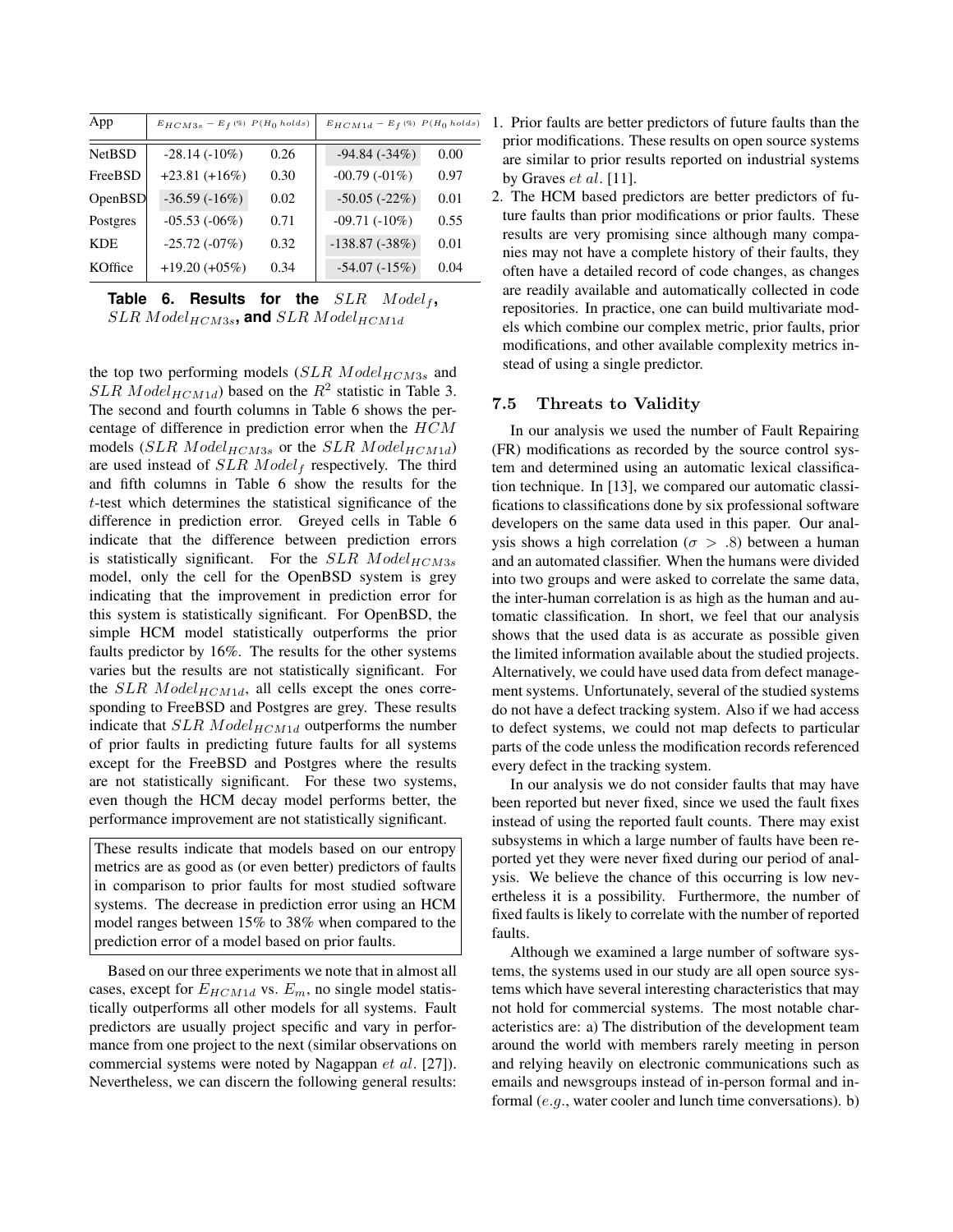| App            | $E_{HCM3s}$ – $E_f$ $\left( \% \right)$ $P(H_0 \; holds)$ |      | $E_{HCM1d} - E_f \, (\%) \ P(H_0 \; holds)$ |      |
|----------------|-----------------------------------------------------------|------|---------------------------------------------|------|
| <b>NetBSD</b>  | $-28.14(-10\%)$                                           | 0.26 | $-94.84(-34%)$                              | 0.00 |
| <b>FreeBSD</b> | $+23.81 (+16%)$                                           | 0.30 | $-00.79(-01\%)$                             | 0.97 |
| <b>OpenBSD</b> | $-36.59(-16%)$                                            | 0.02 | $-50.05(-22%)$                              | 0.01 |
| Postgres       | $-05.53(-06%)$                                            | 0.71 | $-09.71(-10\%)$                             | 0.55 |
| KDE.           | $-25.72(-07%)$                                            | 0.32 | $-138.87(-38%)$                             | 0.01 |
| KOffice        | $+19.20 (+05%)$                                           | 0.34 | $-54.07(-15%)$                              | 0.04 |

Table 6. Results for the  $SLR$   $Model_f$ ,  $SLR$  Model<sub>HCM3s</sub>, and  $SLR$  Model<sub>HCM1d</sub>

the top two performing models  $(SLR \ Model_{HCM3s}$  and  $SLR$  *Model*<sub>*HCM1d*</sub>) based on the  $R^2$  statistic in Table 3. The second and fourth columns in Table 6 shows the percentage of difference in prediction error when the HCM models (SLR Model<sub>HCM3s</sub> or the SLR Model<sub>HCM1d</sub>) are used instead of  $SLR$   $Model_f$  respectively. The third and fifth columns in Table 6 show the results for the t-test which determines the statistical significance of the difference in prediction error. Greyed cells in Table 6 indicate that the difference between prediction errors is statistically significant. For the  $SLR$   $Model_{HCM3s}$ model, only the cell for the OpenBSD system is grey indicating that the improvement in prediction error for this system is statistically significant. For OpenBSD, the simple HCM model statistically outperforms the prior faults predictor by 16%. The results for the other systems varies but the results are not statistically significant. For the  $SLR$  Model<sub>HCM1d</sub>, all cells except the ones corresponding to FreeBSD and Postgres are grey. These results indicate that  $SLR$   $Model_{HCM1d}$  outperforms the number of prior faults in predicting future faults for all systems except for the FreeBSD and Postgres where the results are not statistically significant. For these two systems, even though the HCM decay model performs better, the performance improvement are not statistically significant.

These results indicate that models based on our entropy metrics are as good as (or even better) predictors of faults in comparison to prior faults for most studied software systems. The decrease in prediction error using an HCM model ranges between 15% to 38% when compared to the prediction error of a model based on prior faults.

Based on our three experiments we note that in almost all cases, except for  $E_{HCM1d}$  vs.  $E_m$ , no single model statistically outperforms all other models for all systems. Fault predictors are usually project specific and vary in performance from one project to the next (similar observations on commercial systems were noted by Nagappan et al. [27]). Nevertheless, we can discern the following general results:

- 1. Prior faults are better predictors of future faults than the prior modifications. These results on open source systems are similar to prior results reported on industrial systems by Graves et al. [11].
- 2. The HCM based predictors are better predictors of future faults than prior modifications or prior faults. These results are very promising since although many companies may not have a complete history of their faults, they often have a detailed record of code changes, as changes are readily available and automatically collected in code repositories. In practice, one can build multivariate models which combine our complex metric, prior faults, prior modifications, and other available complexity metrics instead of using a single predictor.

## 7.5 Threats to Validity

In our analysis we used the number of Fault Repairing (FR) modifications as recorded by the source control system and determined using an automatic lexical classification technique. In [13], we compared our automatic classifications to classifications done by six professional software developers on the same data used in this paper. Our analysis shows a high correlation ( $\sigma > .8$ ) between a human and an automated classifier. When the humans were divided into two groups and were asked to correlate the same data, the inter-human correlation is as high as the human and automatic classification. In short, we feel that our analysis shows that the used data is as accurate as possible given the limited information available about the studied projects. Alternatively, we could have used data from defect management systems. Unfortunately, several of the studied systems do not have a defect tracking system. Also if we had access to defect systems, we could not map defects to particular parts of the code unless the modification records referenced every defect in the tracking system.

In our analysis we do not consider faults that may have been reported but never fixed, since we used the fault fixes instead of using the reported fault counts. There may exist subsystems in which a large number of faults have been reported yet they were never fixed during our period of analysis. We believe the chance of this occurring is low nevertheless it is a possibility. Furthermore, the number of fixed faults is likely to correlate with the number of reported faults.

Although we examined a large number of software systems, the systems used in our study are all open source systems which have several interesting characteristics that may not hold for commercial systems. The most notable characteristics are: a) The distribution of the development team around the world with members rarely meeting in person and relying heavily on electronic communications such as emails and newsgroups instead of in-person formal and informal (e.g., water cooler and lunch time conversations). b)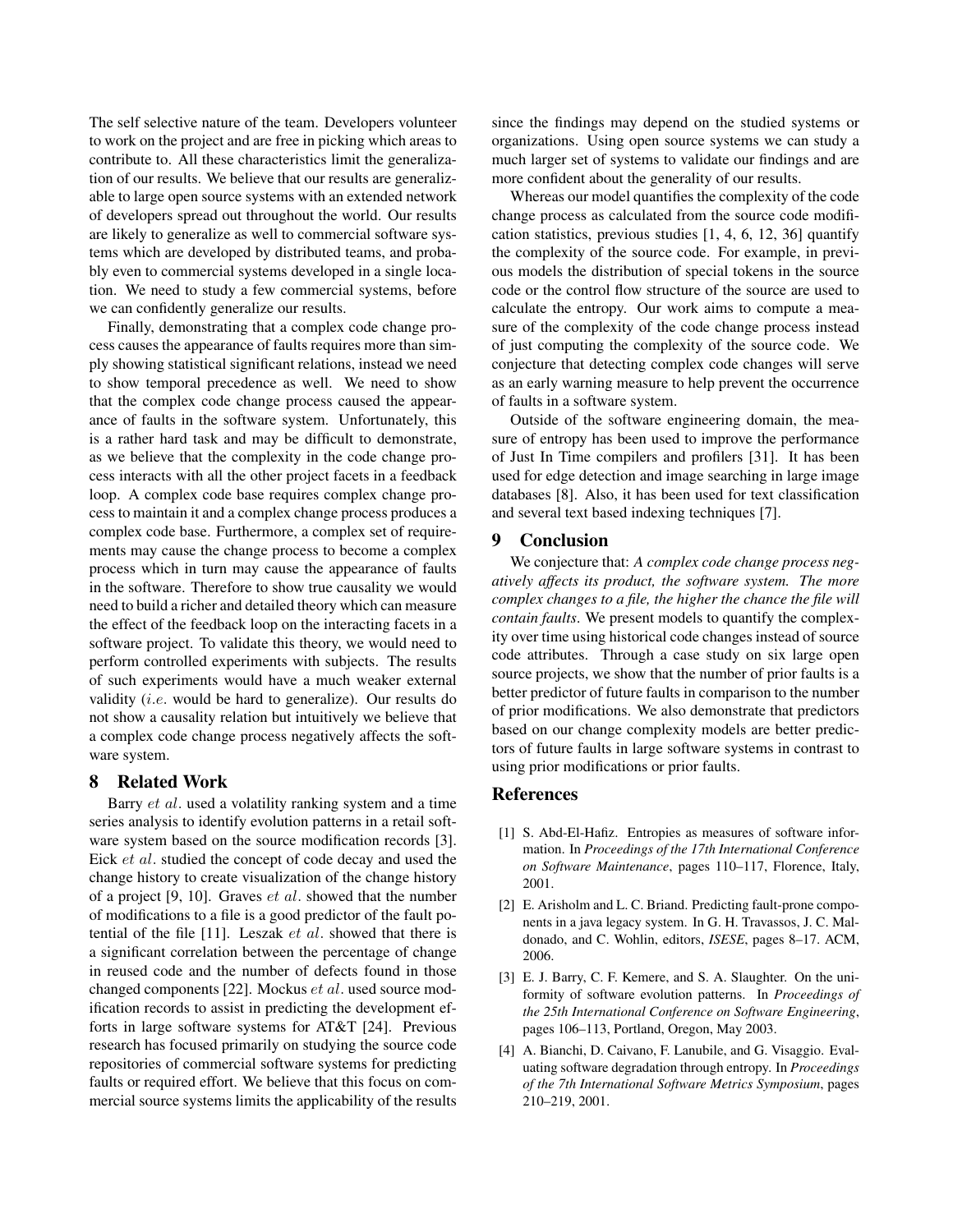The self selective nature of the team. Developers volunteer to work on the project and are free in picking which areas to contribute to. All these characteristics limit the generalization of our results. We believe that our results are generalizable to large open source systems with an extended network of developers spread out throughout the world. Our results are likely to generalize as well to commercial software systems which are developed by distributed teams, and probably even to commercial systems developed in a single location. We need to study a few commercial systems, before we can confidently generalize our results.

Finally, demonstrating that a complex code change process causes the appearance of faults requires more than simply showing statistical significant relations, instead we need to show temporal precedence as well. We need to show that the complex code change process caused the appearance of faults in the software system. Unfortunately, this is a rather hard task and may be difficult to demonstrate, as we believe that the complexity in the code change process interacts with all the other project facets in a feedback loop. A complex code base requires complex change process to maintain it and a complex change process produces a complex code base. Furthermore, a complex set of requirements may cause the change process to become a complex process which in turn may cause the appearance of faults in the software. Therefore to show true causality we would need to build a richer and detailed theory which can measure the effect of the feedback loop on the interacting facets in a software project. To validate this theory, we would need to perform controlled experiments with subjects. The results of such experiments would have a much weaker external validity (i.e. would be hard to generalize). Our results do not show a causality relation but intuitively we believe that a complex code change process negatively affects the software system.

## 8 Related Work

Barry et al. used a volatility ranking system and a time series analysis to identify evolution patterns in a retail software system based on the source modification records [3]. Eick et al. studied the concept of code decay and used the change history to create visualization of the change history of a project  $[9, 10]$ . Graves  $et$  al. showed that the number of modifications to a file is a good predictor of the fault potential of the file [11]. Leszak et al. showed that there is a significant correlation between the percentage of change in reused code and the number of defects found in those changed components [22]. Mockus et al. used source modification records to assist in predicting the development efforts in large software systems for AT&T [24]. Previous research has focused primarily on studying the source code repositories of commercial software systems for predicting faults or required effort. We believe that this focus on commercial source systems limits the applicability of the results since the findings may depend on the studied systems or organizations. Using open source systems we can study a much larger set of systems to validate our findings and are more confident about the generality of our results.

Whereas our model quantifies the complexity of the code change process as calculated from the source code modification statistics, previous studies [1, 4, 6, 12, 36] quantify the complexity of the source code. For example, in previous models the distribution of special tokens in the source code or the control flow structure of the source are used to calculate the entropy. Our work aims to compute a measure of the complexity of the code change process instead of just computing the complexity of the source code. We conjecture that detecting complex code changes will serve as an early warning measure to help prevent the occurrence of faults in a software system.

Outside of the software engineering domain, the measure of entropy has been used to improve the performance of Just In Time compilers and profilers [31]. It has been used for edge detection and image searching in large image databases [8]. Also, it has been used for text classification and several text based indexing techniques [7].

## 9 Conclusion

We conjecture that: *A complex code change process negatively affects its product, the software system. The more complex changes to a file, the higher the chance the file will contain faults*. We present models to quantify the complexity over time using historical code changes instead of source code attributes. Through a case study on six large open source projects, we show that the number of prior faults is a better predictor of future faults in comparison to the number of prior modifications. We also demonstrate that predictors based on our change complexity models are better predictors of future faults in large software systems in contrast to using prior modifications or prior faults.

#### References

- [1] S. Abd-El-Hafiz. Entropies as measures of software information. In *Proceedings of the 17th International Conference on Software Maintenance*, pages 110–117, Florence, Italy, 2001.
- [2] E. Arisholm and L. C. Briand. Predicting fault-prone components in a java legacy system. In G. H. Travassos, J. C. Maldonado, and C. Wohlin, editors, *ISESE*, pages 8–17. ACM, 2006.
- [3] E. J. Barry, C. F. Kemere, and S. A. Slaughter. On the uniformity of software evolution patterns. In *Proceedings of the 25th International Conference on Software Engineering*, pages 106–113, Portland, Oregon, May 2003.
- [4] A. Bianchi, D. Caivano, F. Lanubile, and G. Visaggio. Evaluating software degradation through entropy. In *Proceedings of the 7th International Software Metrics Symposium*, pages 210–219, 2001.